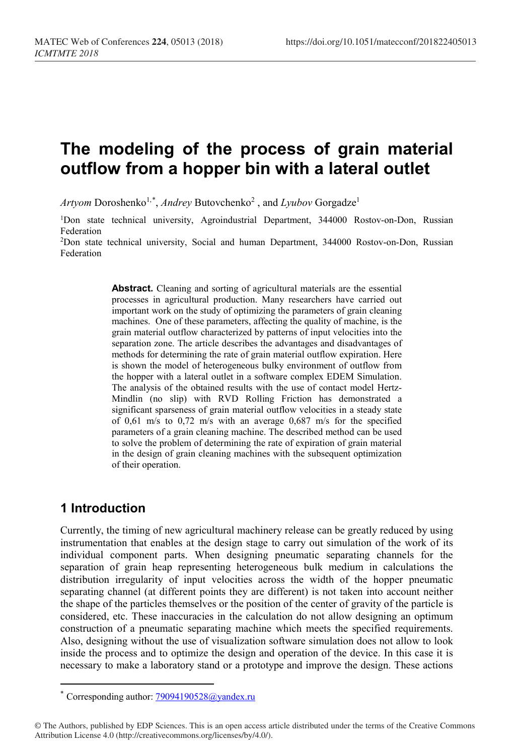# **The modeling of the process of grain material outflow from a hopper bin with a lateral outlet**

Artyom Doroshenko<sup>1,[\\*](#page-0-0)</sup>, *Andrey* Butovchenko<sup>2</sup>, and *Lyubov* Gorgadze<sup>1</sup>

<sup>1</sup>Don state technical university, Agroindustrial Department, 344000 Rostov-on-Don, Russian Federation

2Don state technical university, Social and human Department, 344000 Rostov-on-Don, Russian Federation

> **Abstract.** Cleaning and sorting of agricultural materials are the essential processes in agricultural production. Many researchers have carried out important work on the study of optimizing the parameters of grain cleaning machines. One of these parameters, affecting the quality of machine, is the grain material outflow characterized by patterns of input velocities into the separation zone. The article describes the advantages and disadvantages of methods for determining the rate of grain material outflow expiration. Here is shown the model of heterogeneous bulky environment of outflow from the hopper with a lateral outlet in a software complex EDEM Simulation. The analysis of the obtained results with the use of contact model Hertz-Mindlin (no slip) with RVD Rolling Friction has demonstrated a significant sparseness of grain material outflow velocities in a steady state of 0,61 m/s tо 0,72 m/s with an average 0,687 m/s for the specified parameters of a grain cleaning machine. The described method can be used to solve the problem of determining the rate of expiration of grain material in the design of grain cleaning machines with the subsequent optimization of their operation.

## **1 Introduction**

 $\overline{a}$ 

Currently, the timing of new agricultural machinery release can be greatly reduced by using instrumentation that enables at the design stage to carry out simulation of the work of its individual component parts. When designing pneumatic separating channels for the separation of grain heap representing heterogeneous bulk medium in calculations the distribution irregularity of input velocities across the width of the hopper pneumatic separating channel (at different points they are different) is not taken into account neither the shape of the particles themselves or the position of the center of gravity of the particle is considered, etc. These inaccuracies in the calculation do not allow designing an optimum construction of a pneumatic separating machine which meets the specified requirements. Also, designing without the use of visualization software simulation does not allow to look inside the process and to optimize the design and operation of the device. In this case it is necessary to make a laboratory stand or a prototype and improve the design. These actions

<sup>\*</sup> Corresponding author: [79094190528@yandex.ru](mailto:79094190528@yandex.ru)

<span id="page-0-0"></span><sup>©</sup> The Authors, published by EDP Sciences. This is an open access article distributed under the terms of the Creative Commons Attribution License 4.0 (http://creativecommons.org/licenses/by/4.0/).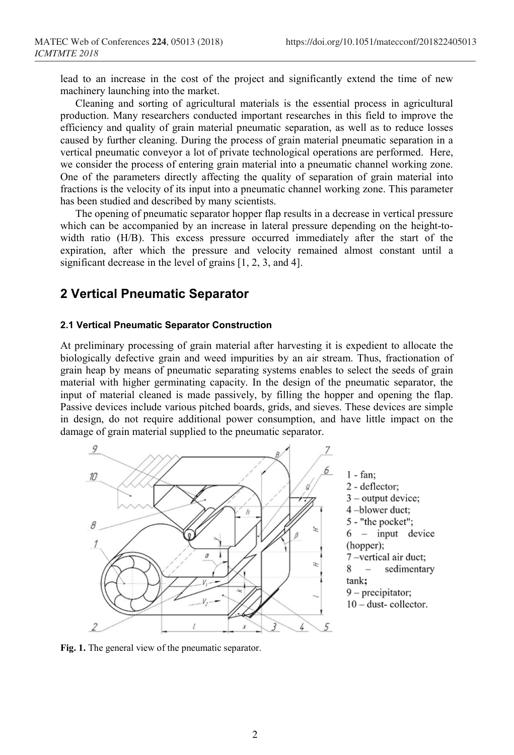lead to an increase in the cost of the project and significantly extend the time of new machinery launching into the market.

Cleaning and sorting of agricultural materials is the essential process in agricultural production. Many researchers conducted important researches in this field to improve the efficiency and quality of grain material pneumatic separation, as well as to reduce losses caused by further cleaning. During the process of grain material pneumatic separation in a vertical pneumatic conveyor a lot of private technological operations are performed. Here, we consider the process of entering grain material into a pneumatic channel working zone. One of the parameters directly affecting the quality of separation of grain material into fractions is the velocity of its input into a pneumatic channel working zone. This parameter has been studied and described by many scientists.

The opening of pneumatic separator hopper flap results in a decrease in vertical pressure which can be accompanied by an increase in lateral pressure depending on the height-towidth ratio (H/B). This excess pressure occurred immediately after the start of the expiration, after which the pressure and velocity remained almost constant until a significant decrease in the level of grains [1, 2, 3, and 4].

## **2 Vertical Pneumatic Separator**

#### **2.1 Vertical Pneumatic Separator Construction**

At preliminary processing of grain material after harvesting it is expedient to allocate the biologically defective grain and weed impurities by an air stream. Thus, fractionation of grain heap by means of pneumatic separating systems enables to select the seeds of grain material with higher germinating capacity. In the design of the pneumatic separator, the input of material cleaned is made passively, by filling the hopper and opening the flap. Passive devices include various pitched boards, grids, and sieves. These devices are simple in design, do not require additional power consumption, and have little impact on the damage of grain material supplied to the pneumatic separator.



**Fig. 1.** The general view of the pneumatic separator.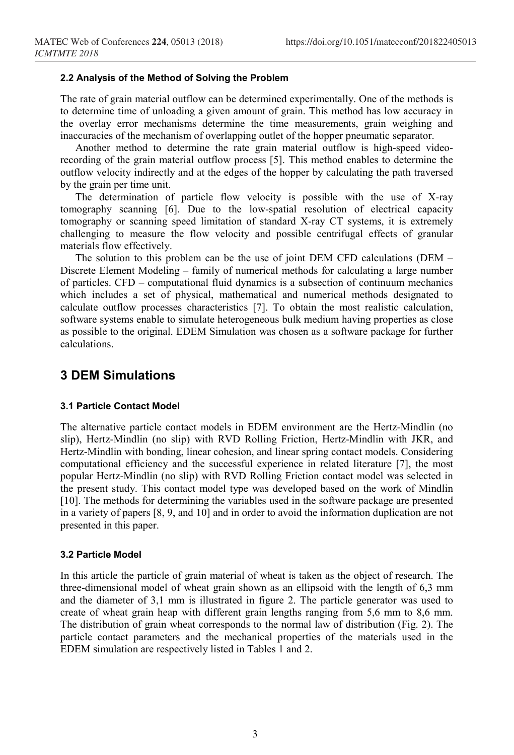#### **2.2 Analysis of the Method of Solving the Problem**

The rate of grain material outflow can be determined experimentally. One of the methods is to determine time of unloading a given amount of grain. This method has low accuracy in the overlay error mechanisms determine the time measurements, grain weighing and inaccuracies of the mechanism of overlapping outlet of the hopper pneumatic separator.

Another method to determine the rate grain material outflow is high-speed videorecording of the grain material outflow process [5]. This method enables to determine the outflow velocity indirectly and at the edges of the hopper by calculating the path traversed by the grain per time unit.

The determination of particle flow velocity is possible with the use of X-ray tomography scanning [6]. Due to the low-spatial resolution of electrical capacity tomography or scanning speed limitation of standard X-ray CT systems, it is extremely challenging to measure the flow velocity and possible centrifugal effects of granular materials flow effectively.

The solution to this problem can be the use of joint DEM CFD calculations (DEM – Discrete Element Modeling – family of numerical methods for calculating a large number of particles. CFD – computational fluid dynamics is a subsection of continuum mechanics which includes a set of physical, mathematical and numerical methods designated to calculate outflow processes characteristics [7]. To obtain the most realistic calculation, software systems enable to simulate heterogeneous bulk medium having properties as close as possible to the original. EDEM Simulation was chosen as a software package for further calculations.

## **3 DEM Simulations**

#### **3.1 Particle Contact Model**

The alternative particle contact models in EDEM environment are the Hertz-Mindlin (no slip), Hertz-Mindlin (no slip) with RVD Rolling Friction, Hertz-Mindlin with JKR, and Hertz-Mindlin with bonding, linear cohesion, and linear spring contact models. Considering computational efficiency and the successful experience in related literature [7], the most popular Hertz-Mindlin (no slip) with RVD Rolling Friction contact model was selected in the present study. This contact model type was developed based on the work of Mindlin [10]. The methods for determining the variables used in the software package are presented in a variety of papers [8, 9, and 10] and in order to avoid the information duplication are not presented in this paper.

#### **3.2 Particle Model**

In this article the particle of grain material of wheat is taken as the object of research. The three-dimensional model of wheat grain shown as an ellipsoid with the length of 6,3 mm and the diameter of 3,1 mm is illustrated in figure 2. The particle generator was used to create of wheat grain heap with different grain lengths ranging from 5,6 mm to 8,6 mm. The distribution of grain wheat corresponds to the normal law of distribution (Fig. 2). The particle contact parameters and the mechanical properties of the materials used in the EDEM simulation are respectively listed in Tables 1 and 2.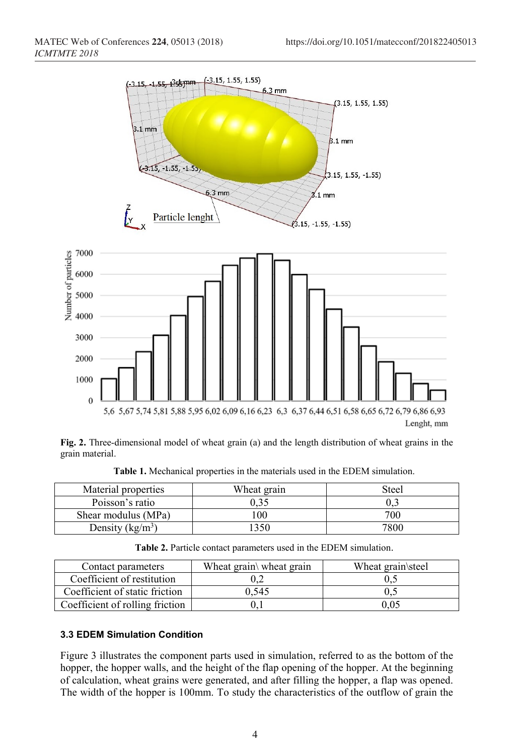

**Fig. 2.** Three-dimensional model of wheat grain (a) and the length distribution of wheat grains in the grain material.

| Material properties         | Wheat grain | Steel |
|-----------------------------|-------------|-------|
| Poisson's ratio             |             | U.J   |
| Shear modulus (MPa)         | 00          | 700   |
| Density (kg/m <sup>3)</sup> | 350         | 7800  |

**Table 1.** Mechanical properties in the materials used in the EDEM simulation.

**Table 2.** Particle contact parameters used in the EDEM simulation.

| Contact parameters              | Wheat grain\ wheat grain | Wheat grain steel |
|---------------------------------|--------------------------|-------------------|
| Coefficient of restitution      |                          |                   |
| Coefficient of static friction  | 0.545                    | 0.:               |
| Coefficient of rolling friction |                          | 0.05              |

#### **3.3 EDEM Simulation Condition**

Figure 3 illustrates the component parts used in simulation, referred to as the bottom of the hopper, the hopper walls, and the height of the flap opening of the hopper. At the beginning of calculation, wheat grains were generated, and after filling the hopper, a flap was opened. The width of the hopper is 100mm. To study the characteristics of the outflow of grain the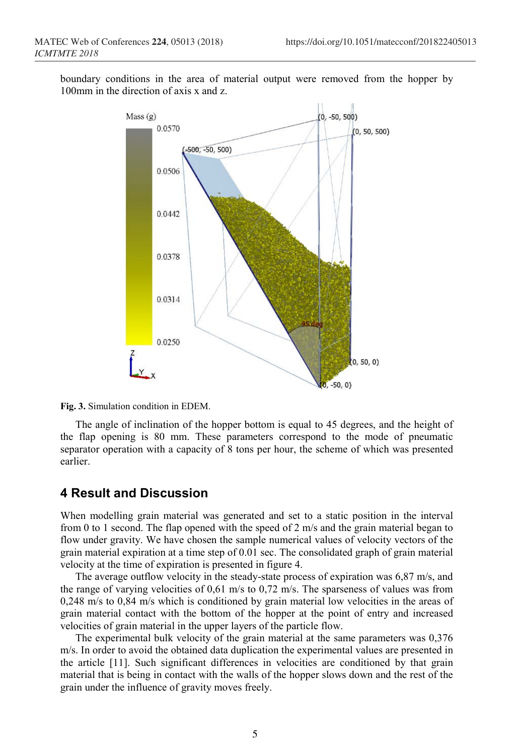boundary conditions in the area of material output were removed from the hopper by 100mm in the direction of axis x and z.



**Fig. 3.** Simulation condition in EDEM.

The angle of inclination of the hopper bottom is equal to 45 degrees, and the height of the flap opening is 80 mm. These parameters correspond to the mode of pneumatic separator operation with a capacity of 8 tons per hour, the scheme of which was presented earlier.

### **4 Result and Discussion**

When modelling grain material was generated and set to a static position in the interval from 0 to 1 second. The flap opened with the speed of 2 m/s and the grain material began to flow under gravity. We have chosen the sample numerical values of velocity vectors of the grain material expiration at a time step of 0.01 sec. The consolidated graph of grain material velocity at the time of expiration is presented in figure 4.

The average outflow velocity in the steady-state process of expiration was 6,87 m/s, and the range of varying velocities of 0,61 m/s tо 0,72 m/s. The sparseness of values was from 0,248 m/s to 0,84 m/s which is conditioned by grain material low velocities in the areas of grain material contact with the bottom of the hopper at the point of entry and increased velocities of grain material in the upper layers of the particle flow.

The experimental bulk velocity of the grain material at the same parameters was 0,376 m/s. In order to avoid the obtained data duplication the experimental values are presented in the article [11]. Such significant differences in velocities are conditioned by that grain material that is being in contact with the walls of the hopper slows down and the rest of the grain under the influence of gravity moves freely.